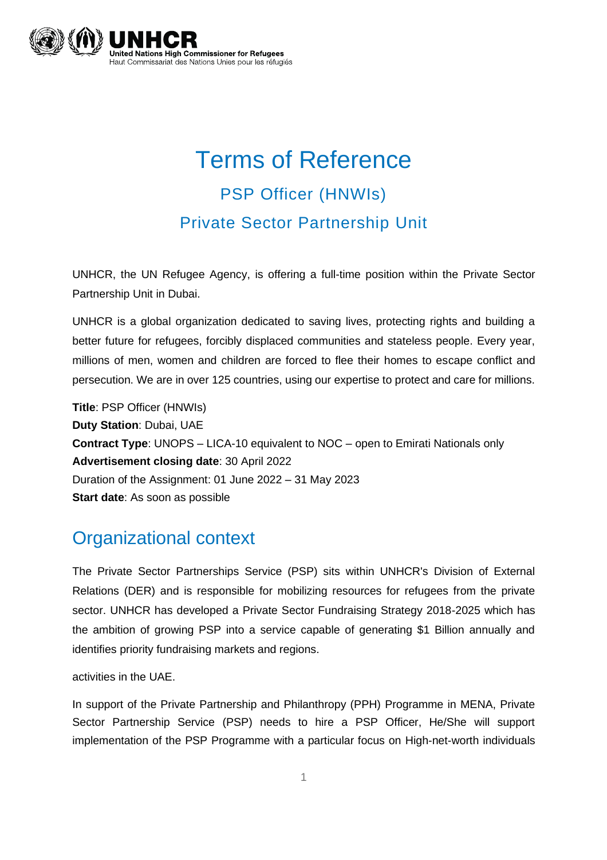

# Terms of Reference PSP Officer (HNWIs) Private Sector Partnership Unit

UNHCR, the UN Refugee Agency, is offering a full-time position within the Private Sector Partnership Unit in Dubai.

UNHCR is a global organization dedicated to saving lives, protecting rights and building a better future for refugees, forcibly displaced communities and stateless people. Every year, millions of men, women and children are forced to flee their homes to escape conflict and persecution. We are in over 125 countries, using our expertise to protect and care for millions.

**Title**: PSP Officer (HNWIs) **Duty Station**: Dubai, UAE **Contract Type**: UNOPS – LICA-10 equivalent to NOC – open to Emirati Nationals only **Advertisement closing date**: 30 April 2022 Duration of the Assignment: 01 June 2022 – 31 May 2023 **Start date**: As soon as possible

#### Organizational context

The Private Sector Partnerships Service (PSP) sits within UNHCR's Division of External Relations (DER) and is responsible for mobilizing resources for refugees from the private sector. UNHCR has developed a Private Sector Fundraising Strategy 2018-2025 which has the ambition of growing PSP into a service capable of generating \$1 Billion annually and identifies priority fundraising markets and regions.

activities in the UAE.

In support of the Private Partnership and Philanthropy (PPH) Programme in MENA, Private Sector Partnership Service (PSP) needs to hire a PSP Officer, He/She will support implementation of the PSP Programme with a particular focus on High-net-worth individuals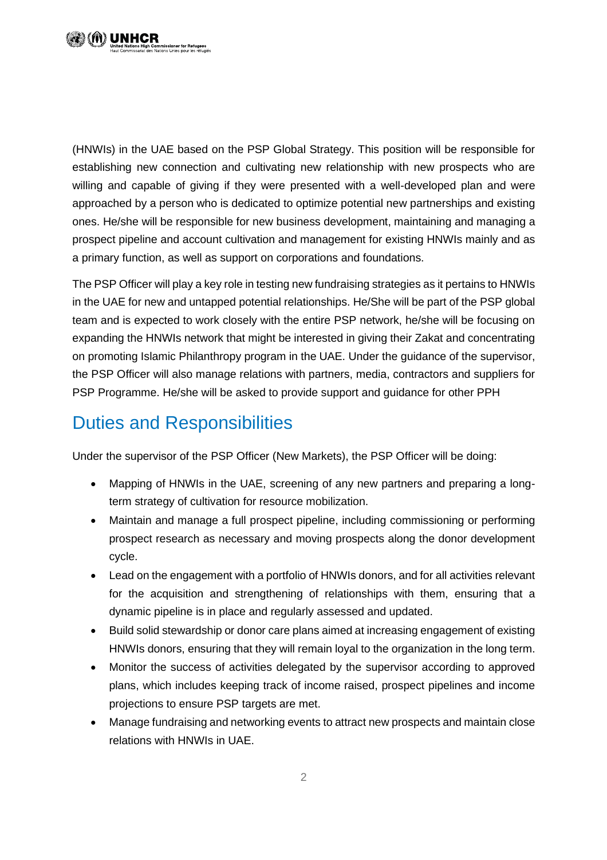

(HNWIs) in the UAE based on the PSP Global Strategy. This position will be responsible for establishing new connection and cultivating new relationship with new prospects who are willing and capable of giving if they were presented with a well-developed plan and were approached by a person who is dedicated to optimize potential new partnerships and existing ones. He/she will be responsible for new business development, maintaining and managing a prospect pipeline and account cultivation and management for existing HNWIs mainly and as a primary function, as well as support on corporations and foundations.

The PSP Officer will play a key role in testing new fundraising strategies as it pertains to HNWIs in the UAE for new and untapped potential relationships. He/She will be part of the PSP global team and is expected to work closely with the entire PSP network, he/she will be focusing on expanding the HNWIs network that might be interested in giving their Zakat and concentrating on promoting Islamic Philanthropy program in the UAE. Under the guidance of the supervisor, the PSP Officer will also manage relations with partners, media, contractors and suppliers for PSP Programme. He/she will be asked to provide support and guidance for other PPH

## Duties and Responsibilities

Under the supervisor of the PSP Officer (New Markets), the PSP Officer will be doing:

- Mapping of HNWIs in the UAE, screening of any new partners and preparing a longterm strategy of cultivation for resource mobilization.
- Maintain and manage a full prospect pipeline, including commissioning or performing prospect research as necessary and moving prospects along the donor development cycle.
- Lead on the engagement with a portfolio of HNWIs donors, and for all activities relevant for the acquisition and strengthening of relationships with them, ensuring that a dynamic pipeline is in place and regularly assessed and updated.
- Build solid stewardship or donor care plans aimed at increasing engagement of existing HNWIs donors, ensuring that they will remain loyal to the organization in the long term.
- Monitor the success of activities delegated by the supervisor according to approved plans, which includes keeping track of income raised, prospect pipelines and income projections to ensure PSP targets are met.
- Manage fundraising and networking events to attract new prospects and maintain close relations with HNWIs in UAE.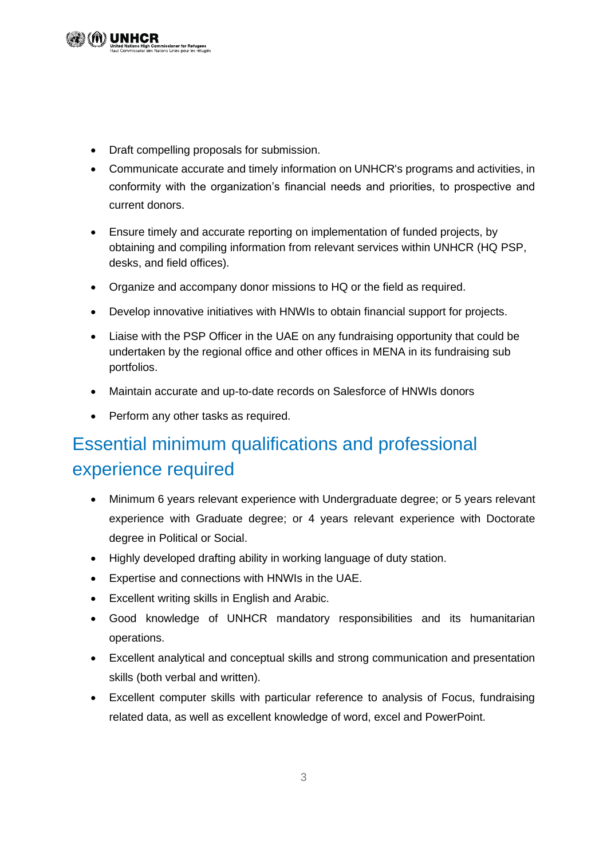• Draft compelling proposals for submission.

**missioner for Refugees**<br>ions Unies pour les réfugié

- Communicate accurate and timely information on UNHCR's programs and activities, in conformity with the organization's financial needs and priorities, to prospective and current donors.
- Ensure timely and accurate reporting on implementation of funded projects, by obtaining and compiling information from relevant services within UNHCR (HQ PSP, desks, and field offices).
- Organize and accompany donor missions to HQ or the field as required.
- Develop innovative initiatives with HNWIs to obtain financial support for projects.
- Liaise with the PSP Officer in the UAE on any fundraising opportunity that could be undertaken by the regional office and other offices in MENA in its fundraising sub portfolios.
- Maintain accurate and up-to-date records on Salesforce of HNWIs donors
- Perform any other tasks as required.

# Essential minimum qualifications and professional experience required

- Minimum 6 years relevant experience with Undergraduate degree; or 5 years relevant experience with Graduate degree; or 4 years relevant experience with Doctorate degree in Political or Social.
- Highly developed drafting ability in working language of duty station.
- Expertise and connections with HNWIs in the UAE.
- Excellent writing skills in English and Arabic.
- Good knowledge of UNHCR mandatory responsibilities and its humanitarian operations.
- Excellent analytical and conceptual skills and strong communication and presentation skills (both verbal and written).
- Excellent computer skills with particular reference to analysis of Focus, fundraising related data, as well as excellent knowledge of word, excel and PowerPoint.